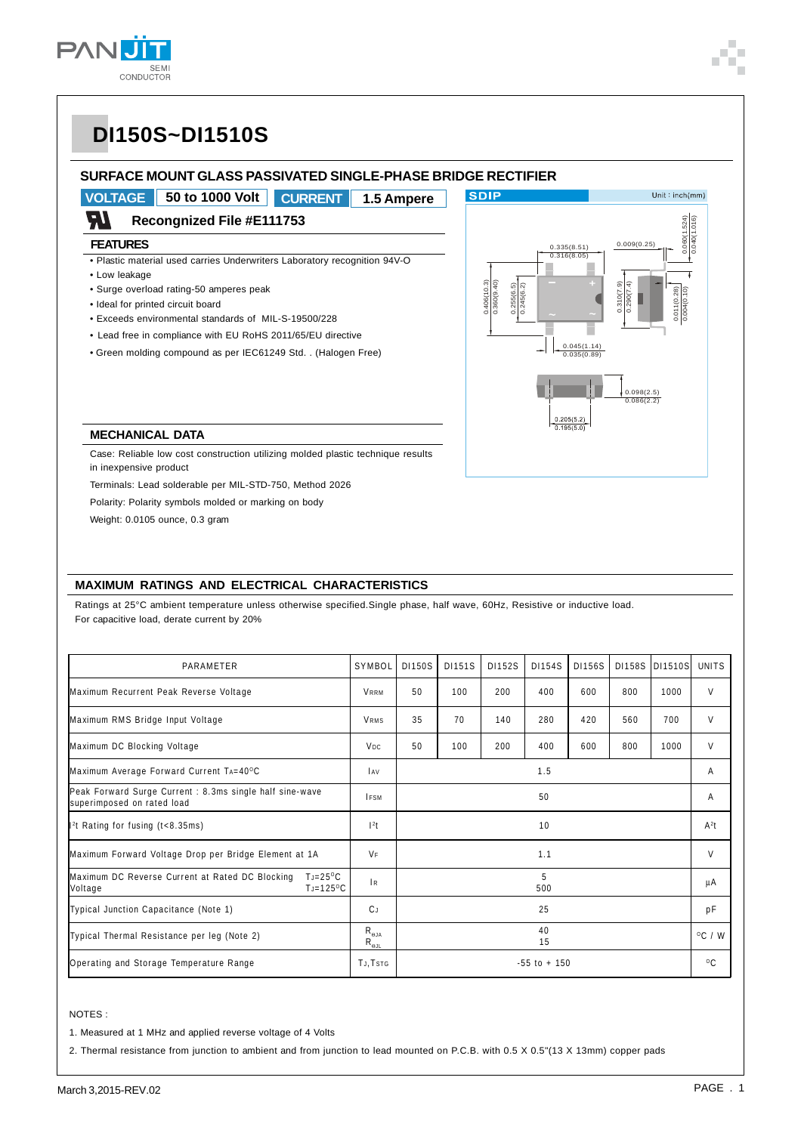

### **SURFACE MOUNT GLASS PASSIVATED SINGLE-PHASE BRIDGE RECTIFIER**

**VOLTAGE 50 to 1000 Volt CURRENT 1.5 Ampere**

#### W **Recongnized File #E111753**

#### **FEATURES**

• Plastic material used carries Underwriters Laboratory recognition 94V-O

- Low leakage
- Surge overload rating-50 amperes peak
- Ideal for printed circuit board
- Exceeds environmental standards of MIL-S-19500/228
- Lead free in compliance with EU RoHS 2011/65/EU directive
- Green molding compound as per IEC61249 Std. . (Halogen Free)



#### **MECHANICAL DATA**

Case: Reliable low cost construction utilizing molded plastic technique results in inexpensive product

Terminals: Lead solderable per MIL-STD-750, Method 2026

Polarity: Polarity symbols molded or marking on body

Weight: 0.0105 ounce, 0.3 gram

#### **MAXIMUM RATINGS AND ELECTRICAL CHARACTERISTICS**

Ratings at 25°C ambient temperature unless otherwise specified.Single phase, half wave, 60Hz, Resistive or inductive load. For capacitive load, derate current by 20%

| PARAMETER                                                                                               | SYMBOL                | <b>DI150S</b>   | D1151S | <b>DI152S</b> | D1154S   | <b>DI156S</b> | D1158S | <b>DI1510S</b>   | <b>UNITS</b> |
|---------------------------------------------------------------------------------------------------------|-----------------------|-----------------|--------|---------------|----------|---------------|--------|------------------|--------------|
| Maximum Recurrent Peak Reverse Voltage                                                                  | <b>VRRM</b>           | 50              | 100    | 200           | 400      | 600           | 800    | 1000             | V            |
| Maximum RMS Bridge Input Voltage                                                                        | <b>VRMS</b>           | 35              | 70     | 140           | 280      | 420           | 560    | 700              | V            |
| Maximum DC Blocking Voltage                                                                             | <b>V<sub>DC</sub></b> | 50              | 100    | 200           | 400      | 600           | 800    | 1000             | V            |
| Maximum Average Forward Current TA=40°C                                                                 |                       | 1.5             |        |               |          |               |        |                  | Α            |
| Peak Forward Surge Current : 8.3ms single half sine-wave<br>superimposed on rated load                  |                       | 50              |        |               |          |               |        | Α                |              |
| $\parallel$ <sup>2</sup> t Rating for fusing (t<8.35ms)                                                 | $12$ t                |                 |        |               | 10       |               |        |                  | $A^2t$       |
| Maximum Forward Voltage Drop per Bridge Element at 1A                                                   |                       | 1.1             |        |               |          |               |        | V                |              |
| Maximum DC Reverse Current at Rated DC Blocking<br>$T_J = 25^{\circ}C$<br>$T = 125^{\circ}C$<br>Voltage | R                     |                 |        |               | 5<br>500 |               |        |                  | μA           |
| Typical Junction Capacitance (Note 1)                                                                   | CJ.                   |                 |        |               | 25       |               |        |                  | рF           |
| Typical Thermal Resistance per leg (Note 2)                                                             |                       | 40<br>15        |        |               |          |               |        | $^{\circ}$ C / W |              |
| Operating and Storage Temperature Range                                                                 |                       | $-55$ to $+150$ |        |               |          |               |        | $^{\circ}$ C     |              |

#### NOTES :

1. Measured at 1 MHz and applied reverse voltage of 4 Volts

2. Thermal resistance from junction to ambient and from junction to lead mounted on P.C.B. with 0.5 X 0.5"(13 X 13mm) copper pads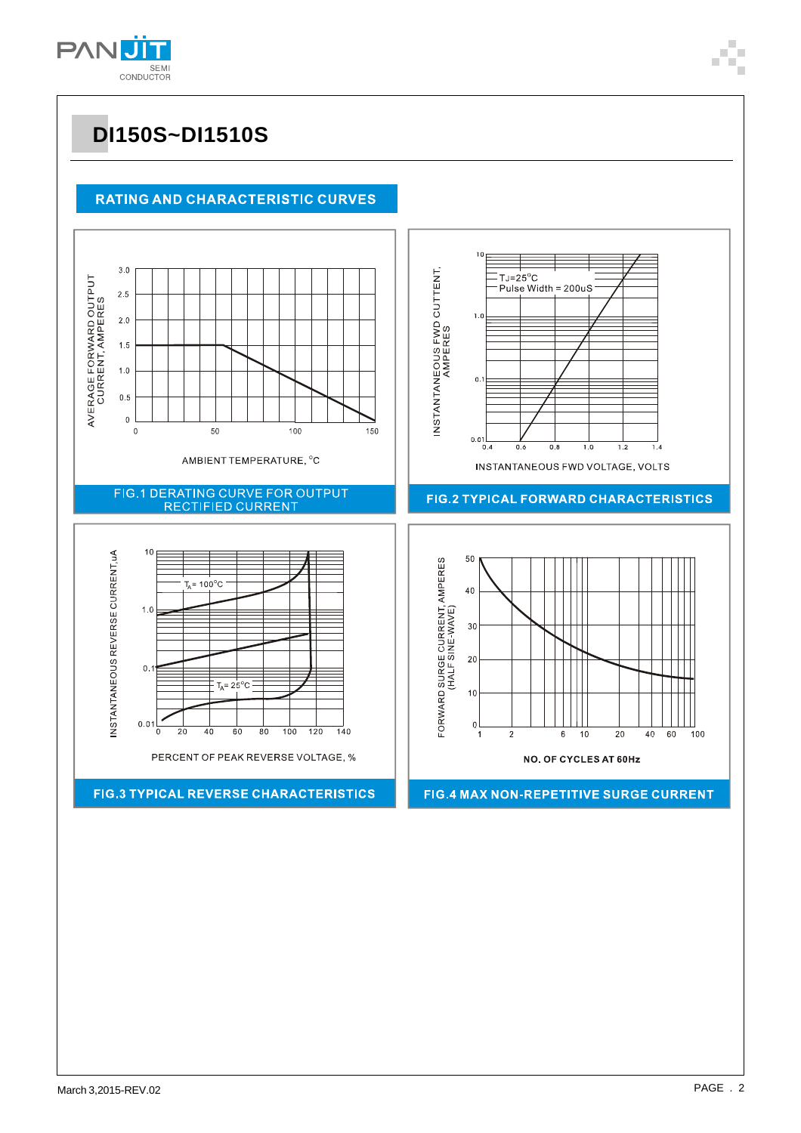

### **RATING AND CHARACTERISTIC CURVES**

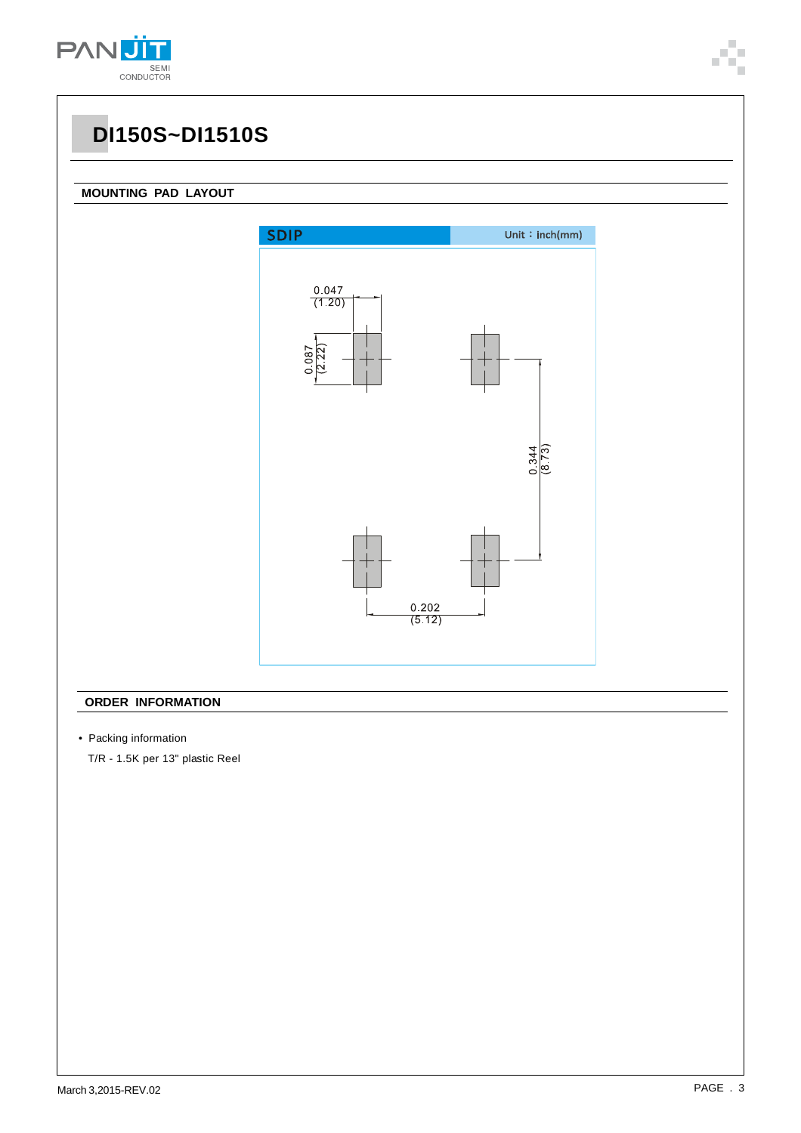

### **MOUNTING PAD LAYOUT**



### **ORDER INFORMATION**

• Packing information

T/R - 1.5K per 13" plastic Reel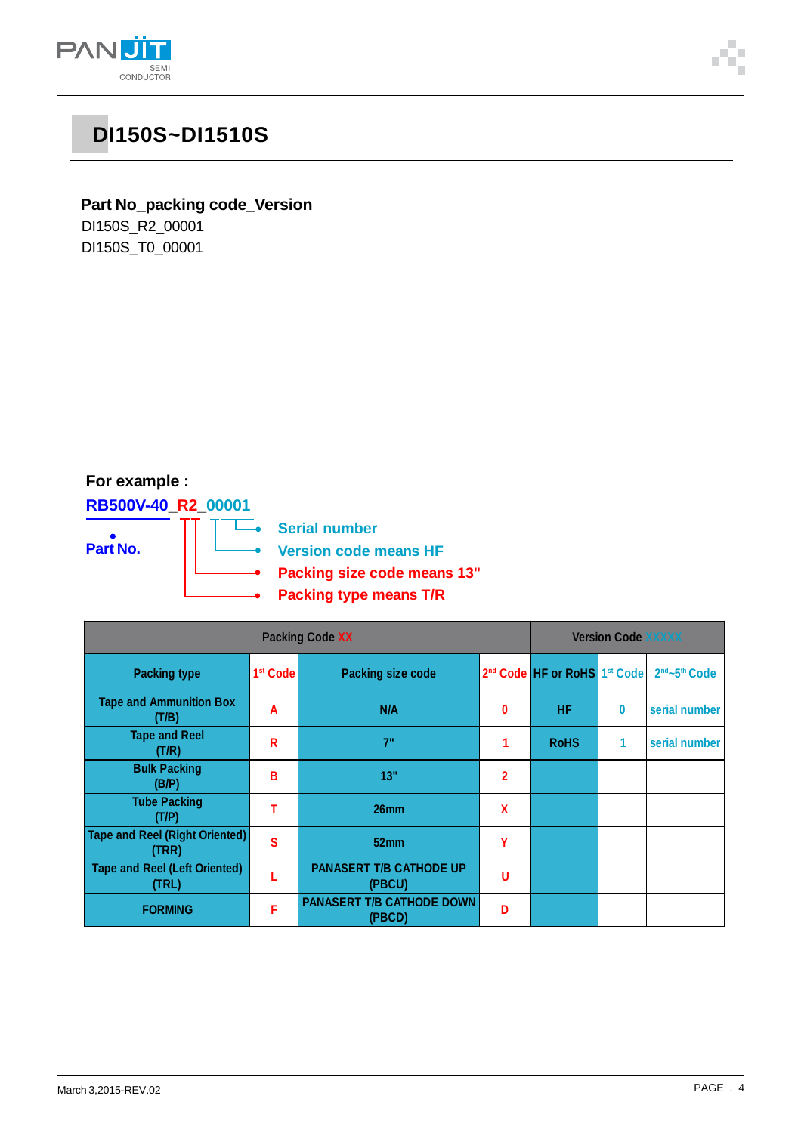

### **Part No\_packing code\_Version**

DI150S\_R2\_00001 DI150S\_T0\_00001

### **For example :**

**RB500V-40\_R2\_00001**

**Part No.**

—<br>—● Serial number

**Version code means HF**

- **Packing size code means 13"**
- **Packing type means T/R** Ā

| <b>Packing Code XX</b>                         |                      |                                            |                | <b>Version Code XXXXX</b>                            |          |                                       |  |  |
|------------------------------------------------|----------------------|--------------------------------------------|----------------|------------------------------------------------------|----------|---------------------------------------|--|--|
| <b>Packing type</b>                            | 1 <sup>st</sup> Code | <b>Packing size code</b>                   |                | 2 <sup>nd</sup> Code HF or RoHS 1 <sup>st</sup> Code |          | 2 <sup>nd</sup> ~5 <sup>th</sup> Code |  |  |
| <b>Tape and Ammunition Box</b><br>(T/B)        | A                    | N/A                                        | $\bf{0}$       | HF.                                                  | $\bf{0}$ | serial number                         |  |  |
| <b>Tape and Reel</b><br>(T/R)                  | R                    | 7"                                         |                | <b>RoHS</b>                                          | 1        | serial number                         |  |  |
| <b>Bulk Packing</b><br>(B/P)                   | В                    | 13"                                        | $\overline{2}$ |                                                      |          |                                       |  |  |
| <b>Tube Packing</b><br>(T/P)                   |                      | 26 <sub>mm</sub>                           | X              |                                                      |          |                                       |  |  |
| <b>Tape and Reel (Right Oriented)</b><br>(TRR) | Ś                    | 52 <sub>mm</sub>                           | γ              |                                                      |          |                                       |  |  |
| <b>Tape and Reel (Left Oriented)</b><br>(TRL)  |                      | <b>PANASERT T/B CATHODE UP</b><br>(PBCU)   | U              |                                                      |          |                                       |  |  |
| <b>FORMING</b>                                 | F                    | <b>PANASERT T/B CATHODE DOWN</b><br>(PBCD) | D              |                                                      |          |                                       |  |  |